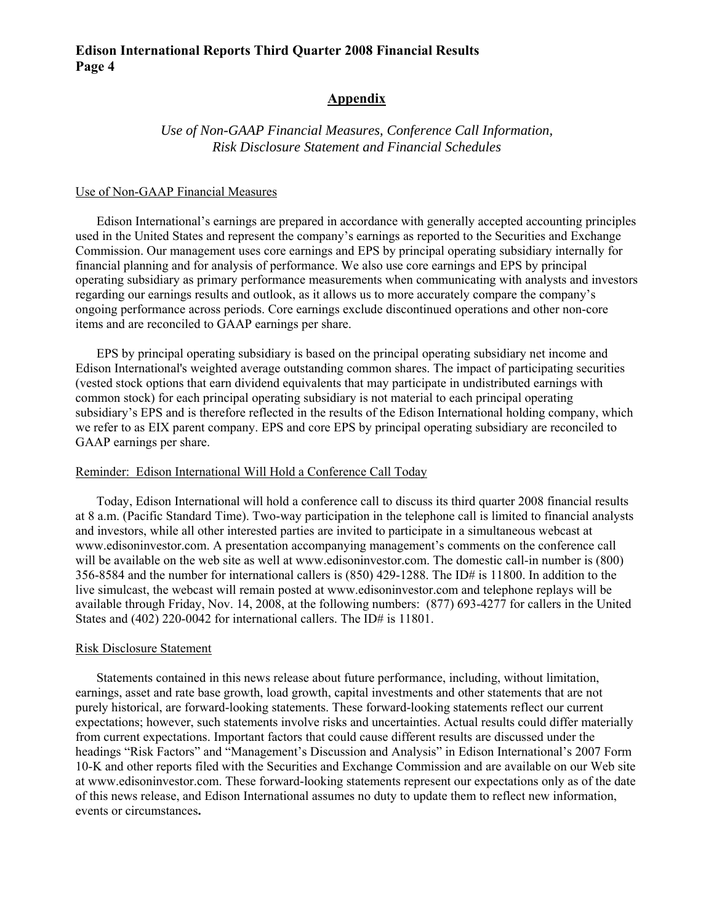#### **Appendix**

#### *Use of Non-GAAP Financial Measures, Conference Call Information, Risk Disclosure Statement and Financial Schedules*

#### Use of Non-GAAP Financial Measures

Edison International's earnings are prepared in accordance with generally accepted accounting principles used in the United States and represent the company's earnings as reported to the Securities and Exchange Commission. Our management uses core earnings and EPS by principal operating subsidiary internally for financial planning and for analysis of performance. We also use core earnings and EPS by principal operating subsidiary as primary performance measurements when communicating with analysts and investors regarding our earnings results and outlook, as it allows us to more accurately compare the company's ongoing performance across periods. Core earnings exclude discontinued operations and other non-core items and are reconciled to GAAP earnings per share.

EPS by principal operating subsidiary is based on the principal operating subsidiary net income and Edison International's weighted average outstanding common shares. The impact of participating securities (vested stock options that earn dividend equivalents that may participate in undistributed earnings with common stock) for each principal operating subsidiary is not material to each principal operating subsidiary's EPS and is therefore reflected in the results of the Edison International holding company, which we refer to as EIX parent company. EPS and core EPS by principal operating subsidiary are reconciled to GAAP earnings per share.

#### Reminder: Edison International Will Hold a Conference Call Today

Today, Edison International will hold a conference call to discuss its third quarter 2008 financial results at 8 a.m. (Pacific Standard Time). Two-way participation in the telephone call is limited to financial analysts and investors, while all other interested parties are invited to participate in a simultaneous webcast at www.edisoninvestor.com. A presentation accompanying management's comments on the conference call will be available on the web site as well at www.edisoninvestor.com. The domestic call-in number is (800) 356-8584 and the number for international callers is (850) 429-1288. The ID# is 11800. In addition to the live simulcast, the webcast will remain posted at www.edisoninvestor.com and telephone replays will be available through Friday, Nov. 14, 2008, at the following numbers: (877) 693-4277 for callers in the United States and (402) 220-0042 for international callers. The ID# is 11801.

#### Risk Disclosure Statement

Statements contained in this news release about future performance, including, without limitation, earnings, asset and rate base growth, load growth, capital investments and other statements that are not purely historical, are forward-looking statements. These forward-looking statements reflect our current expectations; however, such statements involve risks and uncertainties. Actual results could differ materially from current expectations. Important factors that could cause different results are discussed under the headings "Risk Factors" and "Management's Discussion and Analysis" in Edison International's 2007 Form 10-K and other reports filed with the Securities and Exchange Commission and are available on our Web site at www.edisoninvestor.com. These forward-looking statements represent our expectations only as of the date of this news release, and Edison International assumes no duty to update them to reflect new information, events or circumstances**.**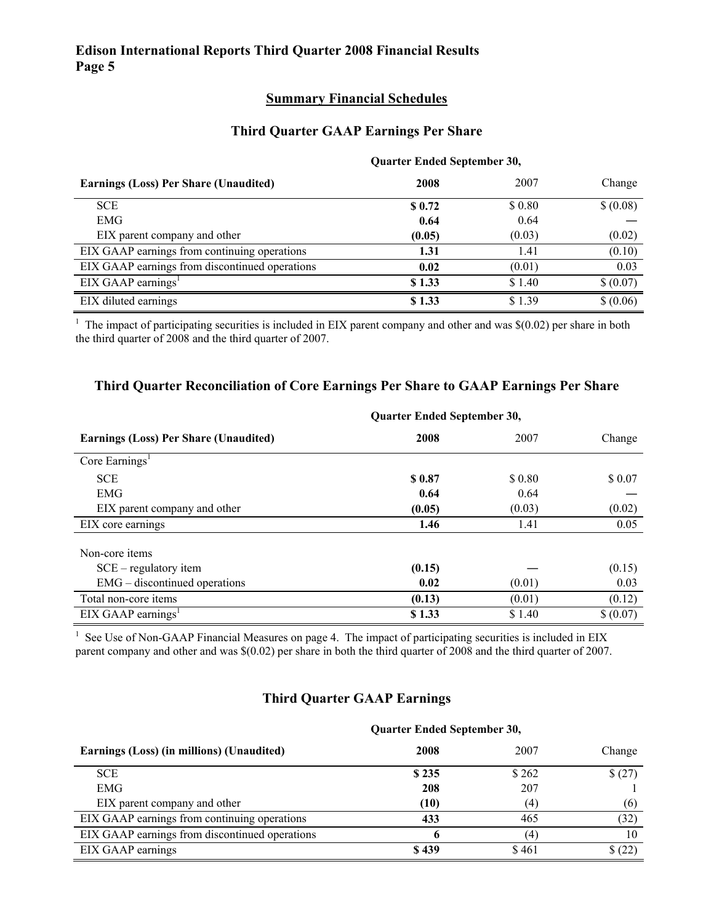#### **Summary Financial Schedules**

#### **Third Quarter GAAP Earnings Per Share**

|                                                | Quarter Ended September 30, |        |           |
|------------------------------------------------|-----------------------------|--------|-----------|
| <b>Earnings (Loss) Per Share (Unaudited)</b>   | 2008                        | 2007   | Change    |
| <b>SCE</b>                                     | \$0.72                      | \$0.80 | \$ (0.08) |
| EMG                                            | 0.64                        | 0.64   |           |
| EIX parent company and other                   | (0.05)                      | (0.03) | (0.02)    |
| EIX GAAP earnings from continuing operations   | 1.31                        | 1.41   | (0.10)    |
| EIX GAAP earnings from discontinued operations | 0.02                        | (0.01) | 0.03      |
| $EIX GAP$ earnings <sup>1</sup>                | \$1.33                      | \$1.40 | \$ (0.07) |
| EIX diluted earnings                           | \$1.33                      | \$1.39 | \$ (0.06) |

<sup>1</sup> The impact of participating securities is included in EIX parent company and other and was  $$(0.02)$  per share in both the third quarter of 2008 and the third quarter of 2007.

#### **Third Quarter Reconciliation of Core Earnings Per Share to GAAP Earnings Per Share**

|                                              | Quarter Ended September 30, |        |           |
|----------------------------------------------|-----------------------------|--------|-----------|
| <b>Earnings (Loss) Per Share (Unaudited)</b> | 2008                        | 2007   | Change    |
| Core Earnings <sup>1</sup>                   |                             |        |           |
| <b>SCE</b>                                   | \$0.87                      | \$0.80 | \$0.07    |
| EMG                                          | 0.64                        | 0.64   |           |
| EIX parent company and other                 | (0.05)                      | (0.03) | (0.02)    |
| EIX core earnings                            | 1.46                        | 1.41   | 0.05      |
| Non-core items                               |                             |        |           |
| $SCE$ – regulatory item                      | (0.15)                      |        | (0.15)    |
| $EMG$ – discontinued operations              | 0.02                        | (0.01) | 0.03      |
| Total non-core items                         | (0.13)                      | (0.01) | (0.12)    |
| $EIX GAAP$ earnings <sup>1</sup>             | \$1.33                      | \$1.40 | \$ (0.07) |

<sup>1</sup> See Use of Non-GAAP Financial Measures on page 4. The impact of participating securities is included in EIX parent company and other and was \$(0.02) per share in both the third quarter of 2008 and the third quarter of 2007.

## **Third Quarter GAAP Earnings**

|                                                | Quarter Ended September 30, |       |        |
|------------------------------------------------|-----------------------------|-------|--------|
| Earnings (Loss) (in millions) (Unaudited)      | 2008                        | 2007  | Change |
| <b>SCE</b>                                     | \$235                       | \$262 | \$(27) |
| EMG                                            | 208                         | 207   |        |
| EIX parent company and other                   | (10)                        | (4)   | (6)    |
| EIX GAAP earnings from continuing operations   | 433                         | 465   | (32)   |
| EIX GAAP earnings from discontinued operations |                             | (4)   | 10     |
| EIX GAAP earnings                              | \$439                       | \$461 | \$(22) |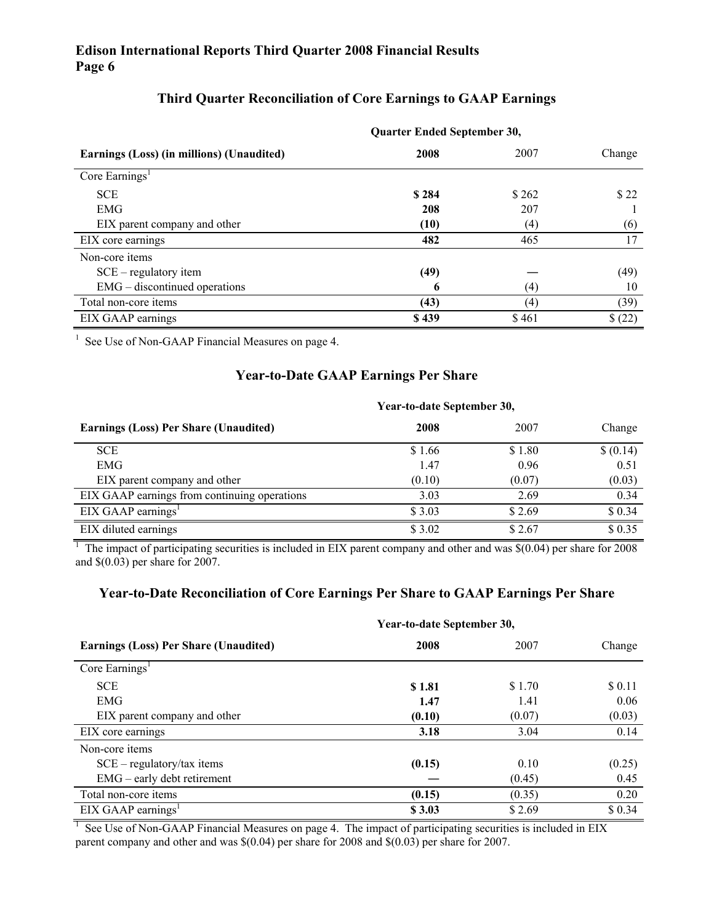|                                           | Quarter Ended September 30, |                   |        |
|-------------------------------------------|-----------------------------|-------------------|--------|
| Earnings (Loss) (in millions) (Unaudited) | 2008                        | 2007              | Change |
| Core Earnings <sup>1</sup>                |                             |                   |        |
| <b>SCE</b>                                | \$284                       | \$262             | \$22   |
| <b>EMG</b>                                | 208                         | 207               |        |
| EIX parent company and other              | (10)                        | $\left( 4\right)$ | (6)    |
| EIX core earnings                         | 482                         | 465               | 17     |
| Non-core items                            |                             |                   |        |
| $SCE$ – regulatory item                   | (49)                        |                   | (49)   |
| $EMG$ – discontinued operations           | o                           | (4)               | 10     |
| Total non-core items                      | (43)                        | $\left( 4\right)$ | (39)   |
| EIX GAAP earnings                         | \$439                       | \$461             | \$(22) |

# **Third Quarter Reconciliation of Core Earnings to GAAP Earnings**

<sup>1</sup> See Use of Non-GAAP Financial Measures on page 4.

#### **Year-to-Date GAAP Earnings Per Share**

#### **Year-to-date September 30,**

| <b>Earnings (Loss) Per Share (Unaudited)</b> | 2008   | 2007   | Change    |
|----------------------------------------------|--------|--------|-----------|
| <b>SCE</b>                                   | \$1.66 | \$1.80 | \$ (0.14) |
| <b>EMG</b>                                   | 1.47   | 0.96   | 0.51      |
| EIX parent company and other                 | (0.10) | (0.07) | (0.03)    |
| EIX GAAP earnings from continuing operations | 3.03   | 2.69   | 0.34      |
| EIX GAAP earnings <sup>1</sup>               | \$3.03 | \$2.69 | \$0.34    |
| EIX diluted earnings                         | \$3.02 | \$2.67 | \$0.35    |

 $\overline{1}$  The impact of participating securities is included in EIX parent company and other and was  $\$(0.04)$  per share for 2008 and \$(0.03) per share for 2007.

### **Year-to-Date Reconciliation of Core Earnings Per Share to GAAP Earnings Per Share**

| Year-to-date September 30,                   |        |        |         |  |
|----------------------------------------------|--------|--------|---------|--|
| <b>Earnings (Loss) Per Share (Unaudited)</b> | 2008   | 2007   | Change  |  |
| Core Earnings <sup>1</sup>                   |        |        |         |  |
| <b>SCE</b>                                   | \$1.81 | \$1.70 | \$ 0.11 |  |
| EMG                                          | 1.47   | 1.41   | 0.06    |  |
| EIX parent company and other                 | (0.10) | (0.07) | (0.03)  |  |
| EIX core earnings                            | 3.18   | 3.04   | 0.14    |  |
| Non-core items                               |        |        |         |  |
| $SCE - regulatory/tax$ items                 | (0.15) | 0.10   | (0.25)  |  |
| $EMG$ – early debt retirement                |        | (0.45) | 0.45    |  |
| Total non-core items                         | (0.15) | (0.35) | 0.20    |  |
| $EIX GAAP$ earnings <sup>1</sup>             | \$3.03 | \$2.69 | \$0.34  |  |

<sup>1</sup> See Use of Non-GAAP Financial Measures on page 4. The impact of participating securities is included in EIX parent company and other and was \$(0.04) per share for 2008 and \$(0.03) per share for 2007.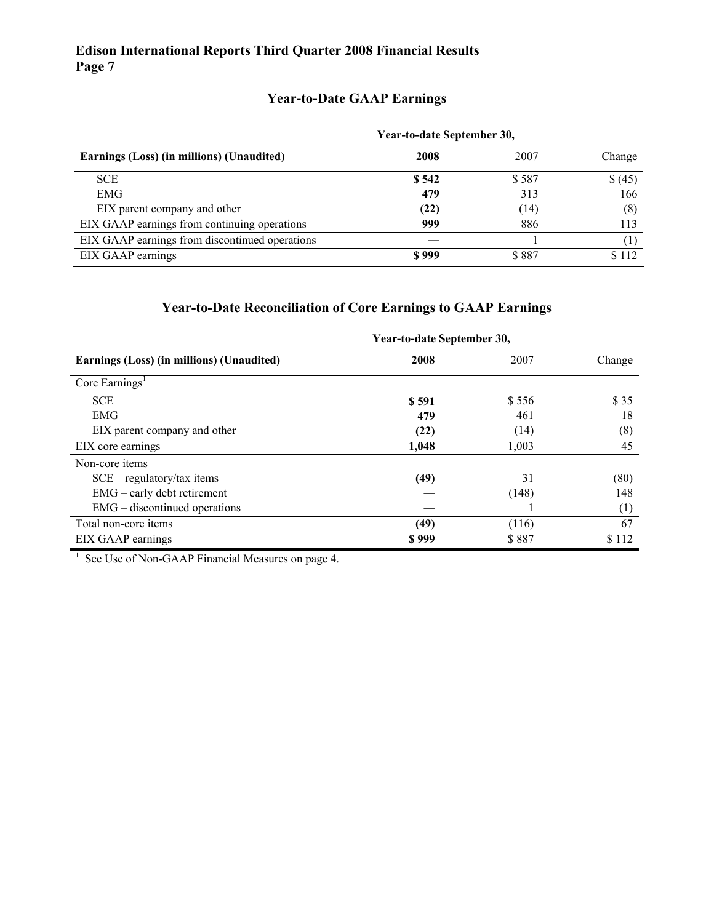# **Year-to-Date GAAP Earnings**

|                                                | Year-to-date September 30, |       |         |  |
|------------------------------------------------|----------------------------|-------|---------|--|
| Earnings (Loss) (in millions) (Unaudited)      | 2008                       | 2007  | Change  |  |
| <b>SCE</b>                                     | \$542                      | \$587 | \$ (45) |  |
| <b>EMG</b>                                     | 479                        | 313   | 166     |  |
| EIX parent company and other                   | (22)                       | (14)  | (8)     |  |
| EIX GAAP earnings from continuing operations   | 999                        | 886   | 113     |  |
| EIX GAAP earnings from discontinued operations |                            |       | (1)     |  |
| EIX GAAP earnings                              | \$999                      | \$887 | \$112   |  |

# **Year-to-Date Reconciliation of Core Earnings to GAAP Earnings**

|                                           | Year-to-date September 30, |       |        |
|-------------------------------------------|----------------------------|-------|--------|
| Earnings (Loss) (in millions) (Unaudited) | 2008                       | 2007  | Change |
| Core Earnings <sup>1</sup>                |                            |       |        |
| <b>SCE</b>                                | \$591                      | \$556 | \$35   |
| <b>EMG</b>                                | 479                        | 461   | 18     |
| EIX parent company and other              | (22)                       | (14)  | (8)    |
| EIX core earnings                         | 1,048                      | 1,003 | 45     |
| Non-core items                            |                            |       |        |
| $SCE$ – regulatory/tax items              | (49)                       | 31    | (80)   |
| $EMG$ – early debt retirement             |                            | (148) | 148    |
| EMG – discontinued operations             |                            |       | (1)    |
| Total non-core items                      | (49)                       | (116) | 67     |
| EIX GAAP earnings                         | \$999                      | \$887 | \$112  |

<sup>1</sup> See Use of Non-GAAP Financial Measures on page 4.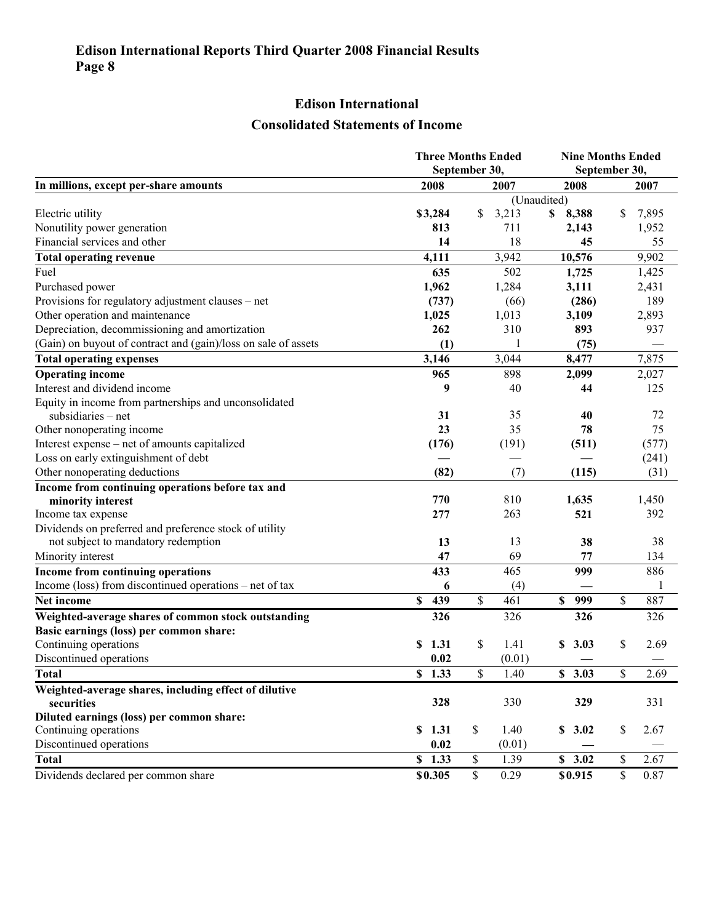# **Consolidated Statements of Income**

|                                                                | <b>Three Months Ended</b> |                    | <b>Nine Months Ended</b> |             |                   |               |       |
|----------------------------------------------------------------|---------------------------|--------------------|--------------------------|-------------|-------------------|---------------|-------|
|                                                                | September 30,             |                    |                          |             |                   | September 30, |       |
| In millions, except per-share amounts                          | 2008                      |                    | 2007                     |             | 2008              |               | 2007  |
|                                                                |                           |                    |                          | (Unaudited) |                   |               |       |
| Electric utility                                               | \$3,284                   | \$                 | 3,213                    | S.          | 8,388             | \$            | 7,895 |
| Nonutility power generation                                    | 813                       |                    | 711                      |             | 2,143             |               | 1,952 |
| Financial services and other                                   | 14                        |                    | 18                       |             | 45                |               | 55    |
| <b>Total operating revenue</b>                                 | 4,111                     |                    | 3,942                    |             | 10,576            |               | 9,902 |
| Fuel                                                           | 635                       |                    | 502                      |             | 1,725             |               | 1,425 |
| Purchased power                                                | 1,962                     |                    | 1,284                    |             | 3,111             |               | 2,431 |
| Provisions for regulatory adjustment clauses - net             | (737)                     |                    | (66)                     |             | (286)             |               | 189   |
| Other operation and maintenance                                | 1,025                     |                    | 1,013                    |             | 3,109             |               | 2,893 |
| Depreciation, decommissioning and amortization                 | 262                       |                    | 310                      |             | 893               |               | 937   |
| (Gain) on buyout of contract and (gain)/loss on sale of assets | (1)                       |                    | 1                        |             | (75)              |               |       |
| <b>Total operating expenses</b>                                | 3,146                     |                    | 3,044                    |             | 8,477             |               | 7,875 |
| <b>Operating income</b>                                        | 965                       |                    | 898                      |             | 2,099             |               | 2,027 |
| Interest and dividend income                                   | 9                         |                    | 40                       |             | 44                |               | 125   |
| Equity in income from partnerships and unconsolidated          |                           |                    |                          |             |                   |               |       |
| subsidiaries - net                                             | 31                        |                    | 35                       |             | 40                |               | 72    |
| Other nonoperating income                                      | 23                        |                    | 35                       |             | 78                |               | 75    |
| Interest expense - net of amounts capitalized                  | (176)                     |                    | (191)                    |             | (511)             |               | (577) |
| Loss on early extinguishment of debt                           |                           |                    |                          |             |                   |               | (241) |
| Other nonoperating deductions                                  | (82)                      |                    | (7)                      |             | (115)             |               | (31)  |
| <b>Income from continuing operations before tax and</b>        |                           |                    |                          |             |                   |               |       |
| minority interest                                              | 770                       |                    | 810                      |             | 1,635             |               | 1,450 |
| Income tax expense                                             | 277                       |                    | 263                      |             | 521               |               | 392   |
| Dividends on preferred and preference stock of utility         |                           |                    |                          |             |                   |               |       |
| not subject to mandatory redemption                            | 13                        |                    | 13                       |             | 38                |               | 38    |
| Minority interest                                              | 47                        |                    | 69                       |             | 77                |               | 134   |
| Income from continuing operations                              | 433                       |                    | 465                      |             | 999               |               | 886   |
| Income (loss) from discontinued operations – net of tax        | 6                         |                    | (4)                      |             | $\hspace{0.05cm}$ |               | 1     |
| Net income                                                     | 439<br>\$                 | $\mathbf{\hat{S}}$ | 461                      | $\mathbf S$ | 999               | \$            | 887   |
| Weighted-average shares of common stock outstanding            | 326                       |                    | 326                      |             | 326               |               | 326   |
| Basic earnings (loss) per common share:                        |                           |                    |                          |             |                   |               |       |
| Continuing operations                                          | 1.31<br>S                 | \$                 | 1.41                     | S.          | 3.03              | \$            | 2.69  |
| Discontinued operations                                        | 0.02                      |                    | (0.01)                   |             |                   |               |       |
| Total                                                          | $\sqrt{3}$ 1.33           | \$                 | 1.40                     |             | \$3.03            | \$            | 2.69  |
| Weighted-average shares, including effect of dilutive          |                           |                    |                          |             |                   |               |       |
| securities                                                     | 328                       |                    | 330                      |             | 329               |               | 331   |
| Diluted earnings (loss) per common share:                      |                           |                    |                          |             |                   |               |       |
| Continuing operations                                          | \$1.31                    | \$                 | 1.40                     |             | \$3.02            | \$            | 2.67  |
| Discontinued operations                                        | 0.02                      |                    | (0.01)                   |             |                   |               |       |
| <b>Total</b>                                                   | \$1.33                    | \$                 | 1.39                     |             | \$3.02            | $\mathbb S$   | 2.67  |
| Dividends declared per common share                            | \$0.305                   | \$                 | 0.29                     |             | \$0.915           | \$            | 0.87  |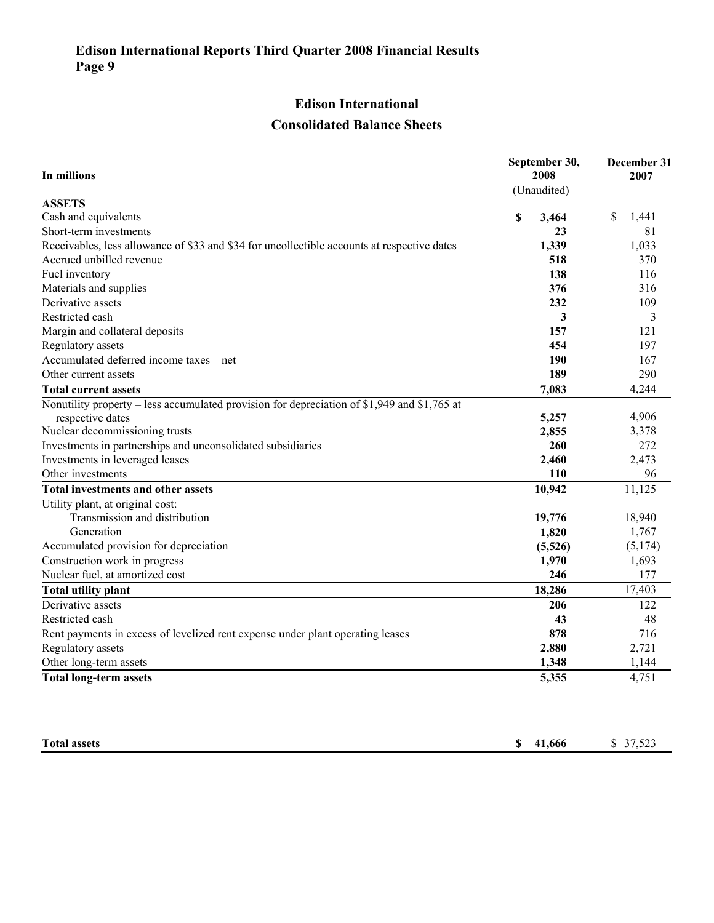# **Consolidated Balance Sheets**

| In millions                                                                                 |             | September 30,<br>2008 |    | December 31<br>2007 |  |
|---------------------------------------------------------------------------------------------|-------------|-----------------------|----|---------------------|--|
|                                                                                             | (Unaudited) |                       |    |                     |  |
| <b>ASSETS</b>                                                                               |             |                       |    |                     |  |
| Cash and equivalents                                                                        | \$          | 3,464                 | \$ | 1,441               |  |
| Short-term investments                                                                      |             | 23                    |    | 81                  |  |
| Receivables, less allowance of \$33 and \$34 for uncollectible accounts at respective dates |             | 1,339                 |    | 1,033               |  |
| Accrued unbilled revenue                                                                    |             | 518                   |    | 370                 |  |
| Fuel inventory                                                                              |             | 138                   |    | 116                 |  |
| Materials and supplies                                                                      |             | 376                   |    | 316                 |  |
| Derivative assets                                                                           |             | 232                   |    | 109                 |  |
| Restricted cash                                                                             |             | 3                     |    | 3                   |  |
| Margin and collateral deposits                                                              |             | 157                   |    | 121                 |  |
| Regulatory assets                                                                           |             | 454                   |    | 197                 |  |
| Accumulated deferred income taxes - net                                                     |             | 190                   |    | 167                 |  |
| Other current assets                                                                        |             | 189                   |    | 290                 |  |
| <b>Total current assets</b>                                                                 |             | 7,083                 |    | 4,244               |  |
| Nonutility property – less accumulated provision for depreciation of \$1,949 and \$1,765 at |             |                       |    |                     |  |
| respective dates                                                                            |             | 5,257                 |    | 4,906               |  |
| Nuclear decommissioning trusts                                                              |             | 2,855                 |    | 3,378               |  |
| Investments in partnerships and unconsolidated subsidiaries                                 |             | 260                   |    | 272                 |  |
| Investments in leveraged leases                                                             |             | 2,460                 |    | 2,473               |  |
| Other investments                                                                           |             | 110                   |    | 96                  |  |
| Total investments and other assets                                                          |             | 10,942                |    | 11,125              |  |
| Utility plant, at original cost:                                                            |             |                       |    |                     |  |
| Transmission and distribution                                                               |             | 19,776                |    | 18,940              |  |
| Generation                                                                                  |             | 1,820                 |    | 1,767               |  |
| Accumulated provision for depreciation                                                      |             | (5,526)               |    | (5,174)             |  |
| Construction work in progress                                                               |             | 1,970                 |    | 1,693               |  |
| Nuclear fuel, at amortized cost                                                             |             | 246                   |    | 177                 |  |
| <b>Total utility plant</b>                                                                  |             | 18,286                |    | 17,403              |  |
| Derivative assets                                                                           |             | 206                   |    | 122                 |  |
| Restricted cash                                                                             |             | 43                    |    | 48                  |  |
| Rent payments in excess of levelized rent expense under plant operating leases              |             | 878                   |    | 716                 |  |
| Regulatory assets                                                                           |             | 2,880                 |    | 2,721               |  |
| Other long-term assets                                                                      |             | 1,348                 |    | 1,144               |  |
| <b>Total long-term assets</b>                                                               |             | 5,355                 |    | 4,751               |  |

| <b>Total assets</b> | ۰п | .666<br>. | 27.52<br>مصر ب |
|---------------------|----|-----------|----------------|
|                     |    |           |                |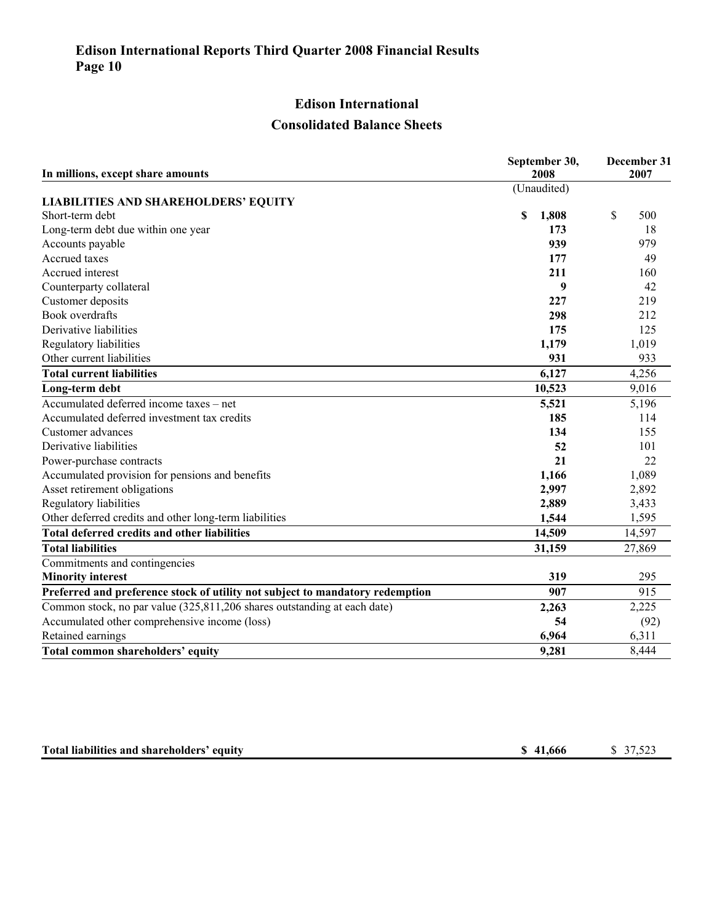# **Consolidated Balance Sheets**

| In millions, except share amounts                                             | September 30,<br>2008 | December 31<br>2007 |  |
|-------------------------------------------------------------------------------|-----------------------|---------------------|--|
|                                                                               | (Unaudited)           |                     |  |
| <b>LIABILITIES AND SHAREHOLDERS' EQUITY</b>                                   |                       |                     |  |
| Short-term debt                                                               | S<br>1,808            | \$<br>500           |  |
| Long-term debt due within one year                                            | 173                   | 18                  |  |
| Accounts payable                                                              | 939                   | 979                 |  |
| Accrued taxes                                                                 | 177                   | 49                  |  |
| Accrued interest                                                              | 211                   | 160                 |  |
| Counterparty collateral                                                       | 9                     | 42                  |  |
| Customer deposits                                                             | 227                   | 219                 |  |
| Book overdrafts                                                               | 298                   | 212                 |  |
| Derivative liabilities                                                        | 175                   | 125                 |  |
| Regulatory liabilities                                                        | 1,179                 | 1,019               |  |
| Other current liabilities                                                     | 931                   | 933                 |  |
| <b>Total current liabilities</b>                                              | 6,127                 | 4,256               |  |
| Long-term debt                                                                | 10,523                | 9,016               |  |
| Accumulated deferred income taxes - net                                       | 5,521                 | 5,196               |  |
| Accumulated deferred investment tax credits                                   | 185                   | 114                 |  |
| Customer advances                                                             | 134                   | 155                 |  |
| Derivative liabilities                                                        | 52                    | 101                 |  |
| Power-purchase contracts                                                      | 21                    | 22                  |  |
| Accumulated provision for pensions and benefits                               | 1,166                 | 1,089               |  |
| Asset retirement obligations                                                  | 2,997                 | 2,892               |  |
| Regulatory liabilities                                                        | 2,889                 | 3,433               |  |
| Other deferred credits and other long-term liabilities                        | 1,544                 | 1,595               |  |
| <b>Total deferred credits and other liabilities</b>                           | 14,509                | 14,597              |  |
| <b>Total liabilities</b>                                                      | 31,159                | 27,869              |  |
| Commitments and contingencies                                                 |                       |                     |  |
| <b>Minority interest</b>                                                      | 319                   | 295                 |  |
| Preferred and preference stock of utility not subject to mandatory redemption | 907                   | 915                 |  |
| Common stock, no par value (325,811,206 shares outstanding at each date)      | 2,263                 | 2,225               |  |
| Accumulated other comprehensive income (loss)                                 | 54                    | (92)                |  |
| Retained earnings                                                             | 6,964                 | 6,311               |  |
| Total common shareholders' equity                                             | 9,281                 | 8,444               |  |

| Total liabilities and shareholders' equity | 41.666 | 27.52<br>ے ب |
|--------------------------------------------|--------|--------------|
|                                            |        |              |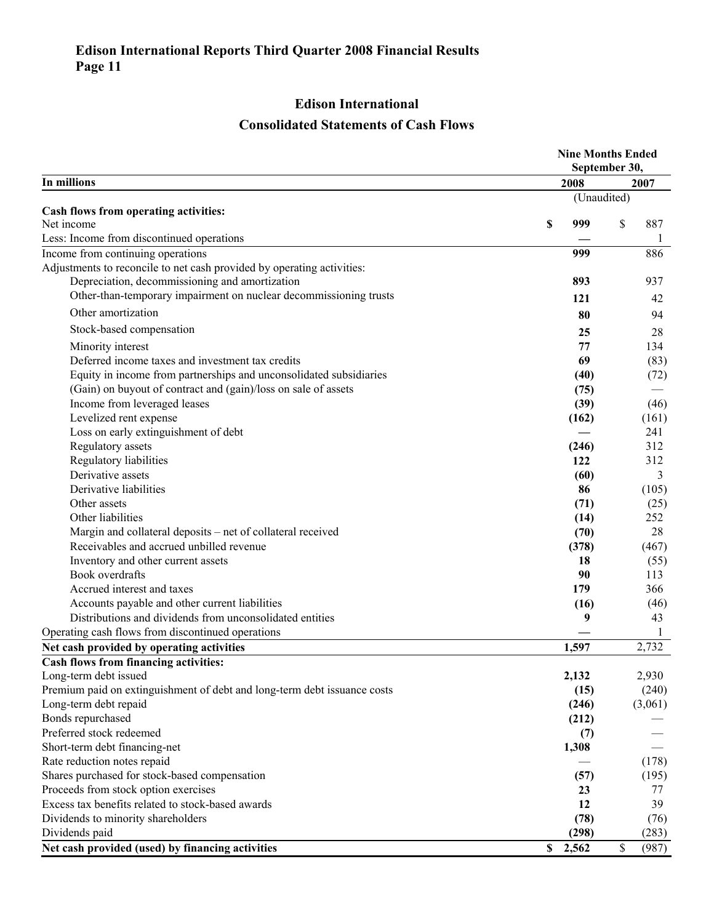# **Consolidated Statements of Cash Flows**

| In millions<br>2008<br>2007<br>(Unaudited)                                                   |         |
|----------------------------------------------------------------------------------------------|---------|
|                                                                                              |         |
|                                                                                              |         |
| Cash flows from operating activities:                                                        |         |
| \$<br>\$<br>999<br>Net income                                                                | 887     |
| Less: Income from discontinued operations                                                    | -1      |
| Income from continuing operations<br>999                                                     | 886     |
| Adjustments to reconcile to net cash provided by operating activities:                       |         |
| Depreciation, decommissioning and amortization<br>893                                        | 937     |
| Other-than-temporary impairment on nuclear decommissioning trusts<br>121                     | 42      |
| Other amortization<br>80                                                                     | 94      |
| Stock-based compensation<br>25                                                               | 28      |
| 77<br>Minority interest                                                                      | 134     |
| Deferred income taxes and investment tax credits<br>69                                       | (83)    |
| Equity in income from partnerships and unconsolidated subsidiaries<br>(40)                   | (72)    |
| (Gain) on buyout of contract and (gain)/loss on sale of assets<br>(75)                       |         |
| Income from leveraged leases<br>(39)                                                         | (46)    |
| Levelized rent expense<br>(162)                                                              | (161)   |
| Loss on early extinguishment of debt                                                         | 241     |
| Regulatory assets<br>(246)                                                                   | 312     |
| 122<br>Regulatory liabilities                                                                | 312     |
| Derivative assets<br>(60)                                                                    | 3       |
| Derivative liabilities<br>86                                                                 | (105)   |
| Other assets<br>(71)                                                                         | (25)    |
| Other liabilities<br>(14)                                                                    | 252     |
| Margin and collateral deposits – net of collateral received<br>(70)                          | 28      |
| Receivables and accrued unbilled revenue<br>(378)                                            | (467)   |
| Inventory and other current assets<br>18                                                     | (55)    |
| Book overdrafts<br>90                                                                        | 113     |
| Accrued interest and taxes<br>179                                                            | 366     |
| Accounts payable and other current liabilities<br>(16)                                       | (46)    |
| Distributions and dividends from unconsolidated entities<br>9                                | 43      |
| Operating cash flows from discontinued operations                                            | 1       |
| Net cash provided by operating activities<br>1,597                                           | 2,732   |
| Cash flows from financing activities:                                                        |         |
| Long-term debt issued<br>2,132                                                               | 2,930   |
| Premium paid on extinguishment of debt and long-term debt issuance costs<br>(15)             | (240)   |
| Long-term debt repaid<br>(246)<br>Bonds repurchased                                          | (3,061) |
| (212)<br>Preferred stock redeemed                                                            |         |
| (7)<br>Short-term debt financing-net<br>1,308                                                |         |
| Rate reduction notes repaid                                                                  | (178)   |
| Shares purchased for stock-based compensation<br>(57)                                        | (195)   |
| Proceeds from stock option exercises<br>23                                                   | 77      |
| Excess tax benefits related to stock-based awards<br>12                                      | 39      |
| Dividends to minority shareholders<br>(78)                                                   | (76)    |
| Dividends paid<br>(298)                                                                      | (283)   |
| Net cash provided (used) by financing activities<br>\$<br>$\boldsymbol{\mathsf{S}}$<br>2,562 | (987)   |